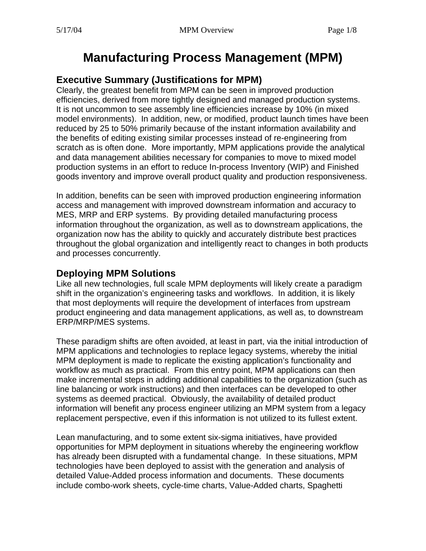# **Manufacturing Process Management (MPM)**

### **Executive Summary (Justifications for MPM)**

Clearly, the greatest benefit from MPM can be seen in improved production efficiencies, derived from more tightly designed and managed production systems. It is not uncommon to see assembly line efficiencies increase by 10% (in mixed model environments). In addition, new, or modified, product launch times have been reduced by 25 to 50% primarily because of the instant information availability and the benefits of editing existing similar processes instead of re-engineering from scratch as is often done. More importantly, MPM applications provide the analytical and data management abilities necessary for companies to move to mixed model production systems in an effort to reduce In-process Inventory (WIP) and Finished goods inventory and improve overall product quality and production responsiveness.

In addition, benefits can be seen with improved production engineering information access and management with improved downstream information and accuracy to MES, MRP and ERP systems. By providing detailed manufacturing process information throughout the organization, as well as to downstream applications, the organization now has the ability to quickly and accurately distribute best practices throughout the global organization and intelligently react to changes in both products and processes concurrently.

### **Deploying MPM Solutions**

Like all new technologies, full scale MPM deployments will likely create a paradigm shift in the organization's engineering tasks and workflows. In addition, it is likely that most deployments will require the development of interfaces from upstream product engineering and data management applications, as well as, to downstream ERP/MRP/MES systems.

These paradigm shifts are often avoided, at least in part, via the initial introduction of MPM applications and technologies to replace legacy systems, whereby the initial MPM deployment is made to replicate the existing application's functionality and workflow as much as practical. From this entry point, MPM applications can then make incremental steps in adding additional capabilities to the organization (such as line balancing or work instructions) and then interfaces can be developed to other systems as deemed practical. Obviously, the availability of detailed product information will benefit any process engineer utilizing an MPM system from a legacy replacement perspective, even if this information is not utilized to its fullest extent.

Lean manufacturing, and to some extent six-sigma initiatives, have provided opportunities for MPM deployment in situations whereby the engineering workflow has already been disrupted with a fundamental change. In these situations, MPM technologies have been deployed to assist with the generation and analysis of detailed Value-Added process information and documents. These documents include combo-work sheets, cycle-time charts, Value-Added charts, Spaghetti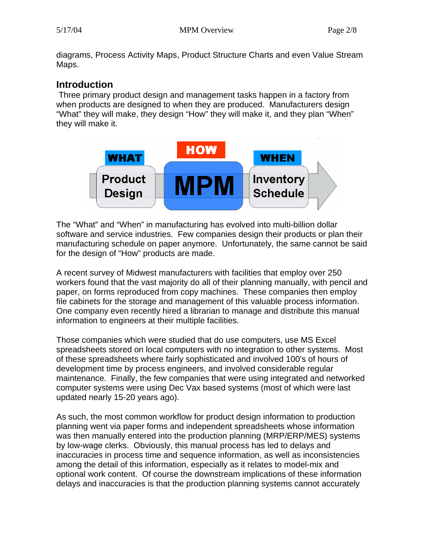diagrams, Process Activity Maps, Product Structure Charts and even Value Stream Maps.

# **Introduction**

 Three primary product design and management tasks happen in a factory from when products are designed to when they are produced. Manufacturers design "What" they will make, they design "How" they will make it, and they plan "When" they will make it.



The "What" and "When" in manufacturing has evolved into multi-billion dollar software and service industries. Few companies design their products or plan their manufacturing schedule on paper anymore. Unfortunately, the same cannot be said for the design of "How" products are made.

A recent survey of Midwest manufacturers with facilities that employ over 250 workers found that the vast majority do all of their planning manually, with pencil and paper, on forms reproduced from copy machines. These companies then employ file cabinets for the storage and management of this valuable process information. One company even recently hired a librarian to manage and distribute this manual information to engineers at their multiple facilities.

Those companies which were studied that do use computers, use MS Excel spreadsheets stored on local computers with no integration to other systems. Most of these spreadsheets where fairly sophisticated and involved 100's of hours of development time by process engineers, and involved considerable regular maintenance. Finally, the few companies that were using integrated and networked computer systems were using Dec Vax based systems (most of which were last updated nearly 15-20 years ago).

As such, the most common workflow for product design information to production planning went via paper forms and independent spreadsheets whose information was then manually entered into the production planning (MRP/ERP/MES) systems by low-wage clerks. Obviously, this manual process has led to delays and inaccuracies in process time and sequence information, as well as inconsistencies among the detail of this information, especially as it relates to model-mix and optional work content. Of course the downstream implications of these information delays and inaccuracies is that the production planning systems cannot accurately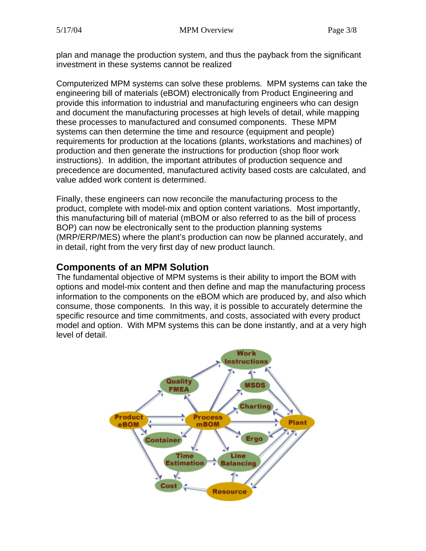plan and manage the production system, and thus the payback from the significant investment in these systems cannot be realized

Computerized MPM systems can solve these problems. MPM systems can take the engineering bill of materials (eBOM) electronically from Product Engineering and provide this information to industrial and manufacturing engineers who can design and document the manufacturing processes at high levels of detail, while mapping these processes to manufactured and consumed components. These MPM systems can then determine the time and resource (equipment and people) requirements for production at the locations (plants, workstations and machines) of production and then generate the instructions for production (shop floor work instructions). In addition, the important attributes of production sequence and precedence are documented, manufactured activity based costs are calculated, and value added work content is determined.

Finally, these engineers can now reconcile the manufacturing process to the product, complete with model-mix and option content variations. Most importantly, this manufacturing bill of material (mBOM or also referred to as the bill of process BOP) can now be electronically sent to the production planning systems (MRP/ERP/MES) where the plant's production can now be planned accurately, and in detail, right from the very first day of new product launch.

# **Components of an MPM Solution**

The fundamental objective of MPM systems is their ability to import the BOM with options and model-mix content and then define and map the manufacturing process information to the components on the eBOM which are produced by, and also which consume, those components. In this way, it is possible to accurately determine the specific resource and time commitments, and costs, associated with every product model and option. With MPM systems this can be done instantly, and at a very high level of detail.

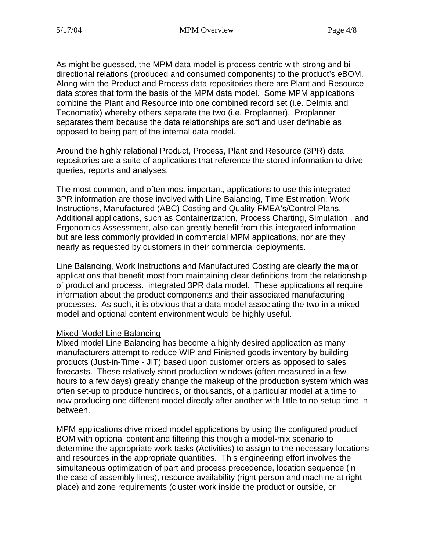As might be guessed, the MPM data model is process centric with strong and bidirectional relations (produced and consumed components) to the product's eBOM. Along with the Product and Process data repositories there are Plant and Resource data stores that form the basis of the MPM data model. Some MPM applications combine the Plant and Resource into one combined record set (i.e. Delmia and Tecnomatix) whereby others separate the two (i.e. Proplanner). Proplanner separates them because the data relationships are soft and user definable as opposed to being part of the internal data model.

Around the highly relational Product, Process, Plant and Resource (3PR) data repositories are a suite of applications that reference the stored information to drive queries, reports and analyses.

The most common, and often most important, applications to use this integrated 3PR information are those involved with Line Balancing, Time Estimation, Work Instructions, Manufactured (ABC) Costing and Quality FMEA's/Control Plans. Additional applications, such as Containerization, Process Charting, Simulation, and Ergonomics Assessment, also can greatly benefit from this integrated information but are less commonly provided in commercial MPM applications, nor are they nearly as requested by customers in their commercial deployments.

Line Balancing, Work Instructions and Manufactured Costing are clearly the major applications that benefit most from maintaining clear definitions from the relationship of product and process. integrated 3PR data model. These applications all require information about the product components and their associated manufacturing processes. As such, it is obvious that a data model associating the two in a mixedmodel and optional content environment would be highly useful.

#### Mixed Model Line Balancing

hours to a few days) greatly change the makeup of the production system which was often set-up to produce hundreds, or thousands, of a particular model at a time to now producing one different model directly after another with little to no setup time in between. Mixed model Line Balancing has become a highly desired application as many manufacturers attempt to reduce WIP and Finished goods inventory by building products (Just-in-Time - JIT) based upon customer orders as opposed to sales forecasts. These relatively short production windows (often measured in a few

determine the appropriate work tasks (Activities) to assign to the necessary locations simultaneous optimization of part and process precedence, location sequence (in the case of assembly lines), resource availability (right person and machine at right place) and zone requirements (cluster work inside the product or outside, or MPM applications drive mixed model applications by using the configured product BOM with optional content and filtering this though a model-mix scenario to and resources in the appropriate quantities. This engineering effort involves the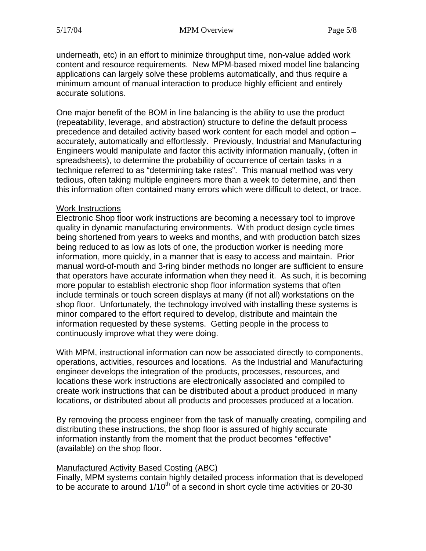underneath, etc) in an effort to minimize throughput time, non-value added work content and resource requirements. New MPM-based mixed model line balancin g applications can largely solve these problems automatically, and thus require a minimum amount of manual interaction to produce highly efficient and entirely accurate solutions.

One major benefit of the BOM in line balancing is the ability to use the product (repeatability , leverage, and abstraction) structure to define the default process precedence and detailed activity based work content for each model and option – Engineers would manipulate and factor this activity information manually, (often in accurately, automatically and effortlessly. Previously, Industrial and Manufacturing spreadsheets), to determine the probability of occurrence of certain tasks in a technique referred to as "determining take rates". This manual method was very tedious, often taking multiple engineers more than a week to determine, and then this information often contained many errors which were difficult to detect, or trace.

#### Work Instructions

Electronic Shop floor work instructions are becoming a necessary tool to improve quality in dynamic manufacturing environments. With product design cycle times being shortened from years to weeks and months, and with production batch si zes being reduced to as low as lots of one, the production worker is needing more information, more quickly, in a manner that is easy to access and maintain. Prior manual word-of-mouth and 3-ring binder methods no longer are sufficient to ensure that operators have accurate information when they need it. As such, it is becoming more popular to establish electronic shop floor information systems that often include terminals or touch screen displays at many (if not all) workstations on the shop floor. Unfortunately, the technology involved with installing these systems is minor compared to the effort required to develop, distribute and maintain the information requested by these systems. Getting people in the process to continuously improve what they were doing.

With MPM, instructional information can now be associated directly to components, operations, activities, resources and locations. As the Industrial and Manufacturing locations, or distributed about all products and processes produced at a location. engineer develops the integration of the products, processes, resources, and locations these work instructions are electronically associated and compiled to create work instructions that can be distributed about a product produced in many

By removing the process engineer from the task of manually creating, compiling and distributing these instructions, the shop floor is assured of highly accurate information instantly from the moment that the product becomes "effective" (available) on the shop floor.

#### Manufactured Activity Based Costing (ABC)

Finally, MPM systems contain highly detailed process information that is de veloped to be accurate to around  $1/10<sup>th</sup>$  of a second in short cycle time activities or 20-30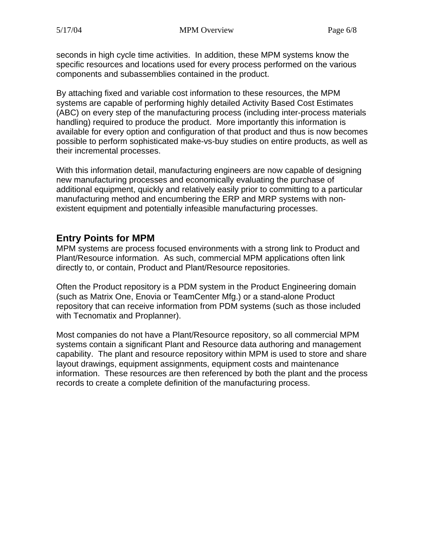seconds in high cycle time activities. In addition, these MPM systems know the specific resources and locations used for every process performed on the various components and subassemblies contained in the product.

(ABC) on every step of the manufacturing process (including inter-process materials handling) required to produce the product. More importantly this information is possible to perform sophisticated make-vs-buy studies on entire products, as well as By attaching fixed and variable cost information to these resources, the MPM systems are capable of performing highly detailed Activity Based Cost Estimates available for every option and configuration of that product and thus is now becomes their incremental processes.

With this information detail, manufacturing engineers are now capable of designing new manufacturing processes and economically evaluating the purchase of additional equipment, quickly and relatively easily prior to committing to a particular manufacturing method and encumbering the ERP and MRP systems with nonexistent equipment and potentially infeasible manufacturing processes.

### **Entry Points for MPM**

MPM systems are process focused environments with a strong link to Product and Plant/Resource information. As such, commercial MPM applications often link directly to, or contain, Product and Plant/Resource repositories.

repository that can receive information from PDM systems (such as those included with Tecnomatix and Proplanner). Often the Product repository is a PDM system in the Product Engineering domain (such as Matrix One, Enovia or TeamCenter Mfg.) or a stand-alone Product

Most companies do not have a Plant/Resource repository, so all commercial MPM capability. The plant and resource repository within MPM is used to store and share layout drawings, equipment assignments, equipment costs and maintenance information. These resources are then referenced by both the plant and the process records to create a complete definition of the manufacturing process. systems contain a significant Plant and Resource data authoring and management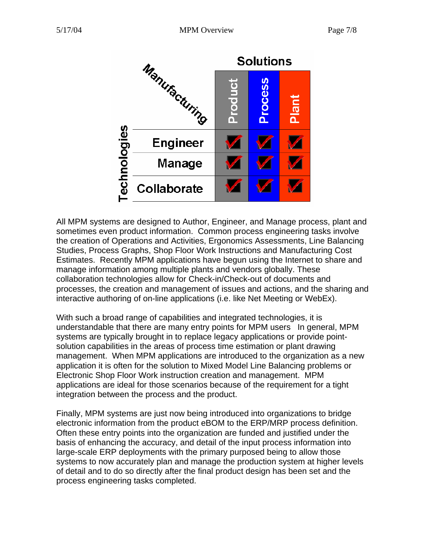

All MPM systems are designed to Author, Engineer, and Manage process, plant and sometimes even product information. Common process engineering tasks involve the creation of Operations and Activities, Ergonomics Assessments, Line Balanc ing Studies, Process Graphs, Shop Floor Work Instructions and Manufacturing Cost Estimates. Recently MPM applications have begun using the Internet to share and manage information among multiple plants and vendors globally. These collaboration technologies allow for Check-in/Check-out of documents and processes, the creation and management of issues and actions, and the sharing and interactive authoring of on-line applications (i.e. like Net Meeting or WebEx).

systems are typically brought in to replace legacy applications or provide pointapplication it is often for the solution to Mixed Model Line Balancing problems or Electronic Shop Floor Work instruction creation and management. MPM applications are ideal for those scenarios because of the requirement for a tight With such a broad range of capabilities and integrated technologies, it is understandable that there are many entry points for MPM users In general, MPM solution capabilities in the areas of process time estimation or plant drawing management. When MPM applications are introduced to the organization as a new integration between the process and the product.

Finally, MPM systems are just now being introduced into organizations to bridge basis of enhancing the accuracy, and detail of the input process information into systems to now accurately plan and manage the production system at higher levels of detail and to do so directly after the final product design has been set and the electronic information from the product eBOM to the ERP/MRP process definition. Often these entry points into the organization are funded and justified under the large-scale ERP deployments with the primary purposed being to allow those process engineering tasks completed.